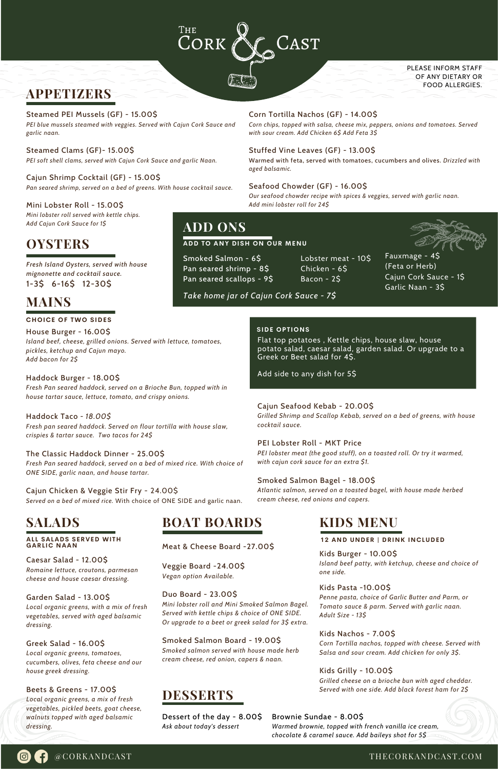*Fresh Island Oysters, served with house mignonette and cocktail sauce.* 1-3\$ 6-16\$ 12-30\$

## Cajun Seafood Kebab - 20.00\$

*Grilled Shrimp and Scallop Kebab, served on a bed of greens, with house cocktail sauce.*

### PEI Lobster Roll - MKT Price

*PEI lobster meat (the good stuff), on a toasted roll. Or try it warmed, with cajun cork sauce for an extra \$1.*

## Smoked Salmon Bagel - 18.00\$

*Atlantic salmon, served on a toasted bagel, with house made herbed cream cheese, red onions and capers.*

## Corn Tortilla Nachos (GF) - 14.00\$

*Corn chips, topped with salsa, cheese mix, peppers, onions and tomatoes. Served with sour cream. Add Chicken 6\$ Add Feta 3\$*

## Stuffed Vine Leaves (GF) - 13.00\$

Warmed with feta, served with tomatoes, cucumbers and olives. *Drizzled with aged balsamic.*

### Seafood Chowder (GF) - 16.00\$

*Our seafood chowder recipe with spices & veggies, served with garlic naan. Add mini lobster roll for 24\$*

## Steamed PEI Mussels (GF) - 15.00\$

*PEI blue mussels steamed with veggies. Served with Cajun Cork Sauce and garlic naan.*

Steamed Clams (GF)- 15.00\$ *PEI soft shell clams, served with Cajun Cork Sauce and garlic Naan.*

Cajun Shrimp Cocktail (GF) - 15.00\$ *Pan seared shrimp, served on a bed of greens. With house cocktail sauce.*

Mini Lobster Roll - 15.00\$ *Mini lobster roll served with kettle chips. Add Cajun Cork Sauce for 1\$*

House Burger - 16.00\$ *Island beef, cheese, grilled onions. Served with lettuce, tomatoes, pickles, ketchup and Cajun mayo. Add bacon for 2\$*

## Haddock Burger - 18.00\$

*Fresh Pan seared haddock, served on a Brioche Bun, topped with in house tartar sauce, lettuce, tomato, and crispy onions.*

Haddock Taco *- 18.00\$ Fresh pan seared haddock. Served on flour tortilla with house slaw, crispies & tartar sauce. Two tacos for 24\$*

The Classic Haddock Dinner - 25.00\$ *Fresh Pan seared haddock, served on a bed of mixed rice. With choice of ONE SIDE, garlic naan, and house tartar.*

Cajun Chicken & Veggie Stir Fry - 24.00\$ *Served on a bed of mixed rice.* With choice of ONE SIDE and garlic naan.

@CORKANDCAST

Caesar Salad - 12.00\$

*Romaine lettuce, croutons, parmesan cheese and house caesar dressing.*

#### Garden Salad - 13.00\$

*Local organic greens, with a mix of fresh vegetables, served with aged balsamic dressing.*

Greek Salad - 16.00\$

*Local organic greens, tomatoes, cucumbers, olives, feta cheese and our house greek dressing.*

Beets & Greens - 17.00\$ *Local organic greens, a mix of fresh vegetables, pickled beets, goat cheese, walnuts topped with aged balsamic dressing.*

## **APPETIZERS**

#### **CHOICE OF TWO SIDES**

## **MAINS**

Flat top potatoes , Kettle chips, house slaw, house potato salad, caesar salad, garden salad. Or upgrade to a Greek or Beet salad for 4\$.

Add side to any dish for 5\$

## **SIDE OPTIONS**



CORK  $\begin{array}{cc} \texttt{CAST} \end{array}$ 

PLEASE INFORM STAFF OF ANY DIETARY OR FOOD ALLERGIES.

# **SALADS**

#### **AL L SALADS SERVED WITH GARL IC NAAN**

**ADD TO ANY DISH ON OUR MENU**

**ADD ONS**

Smoked Salmon - 6\$ Pan seared shrimp - 8\$ Pan seared scallops - 9\$ Lobster meat - 10\$ Chicken - 6\$ Bacon - 2\$

Fauxmage - 4\$ (Feta or Herb) Cajun Cork Sauce - 1\$ Garlic Naan - 3\$

Meat & Cheese Board -27.00\$

#### Veggie Board -24.00\$ *Vegan option Available.*

#### Duo Board - 23.00\$

*Mini lobster roll and Mini Smoked Salmon Bagel. Served with kettle chips & choice of ONE SIDE. Or upgrade to a beet or greek salad for 3\$ extra.*

Smoked Salmon Board - 19.00\$ *Smoked salmon served with house made herb cream cheese, red onion, capers & naan.*

## **BOAT BOARDS**

Kids Burger - 10.00\$ *Island beef patty, with ketchup, cheese and choice of one side.*

#### Kids Pasta -10.00\$

*Penne pasta, choice of Garlic Butter and Parm, or Tomato sauce & parm. Served with garlic naan. Adult Size - 13\$*

#### Kids Nachos - 7.00\$

*Corn Tortilla nachos, topped with cheese. Served with Salsa and sour cream. Add chicken for only 3\$.*

Kids Grilly - 10.00\$

*Grilled cheese on a brioche bun with aged cheddar. Served with one side. Add black forest ham for 2\$*

# **KIDS MENU**

**12 AND UNDER | DRINK INCLUDED**

## **DESSERTS**

Dessert of the day - 8.00\$ *Ask about today's dessert*

# **OYSTERS**

#### Brownie Sundae - 8.00\$

*Warmed brownie, topped with french vanilla ice cream, chocolate & caramel sauce. Add baileys shot for 5\$*

*Take home jar of Cajun Cork Sauce - 7\$*